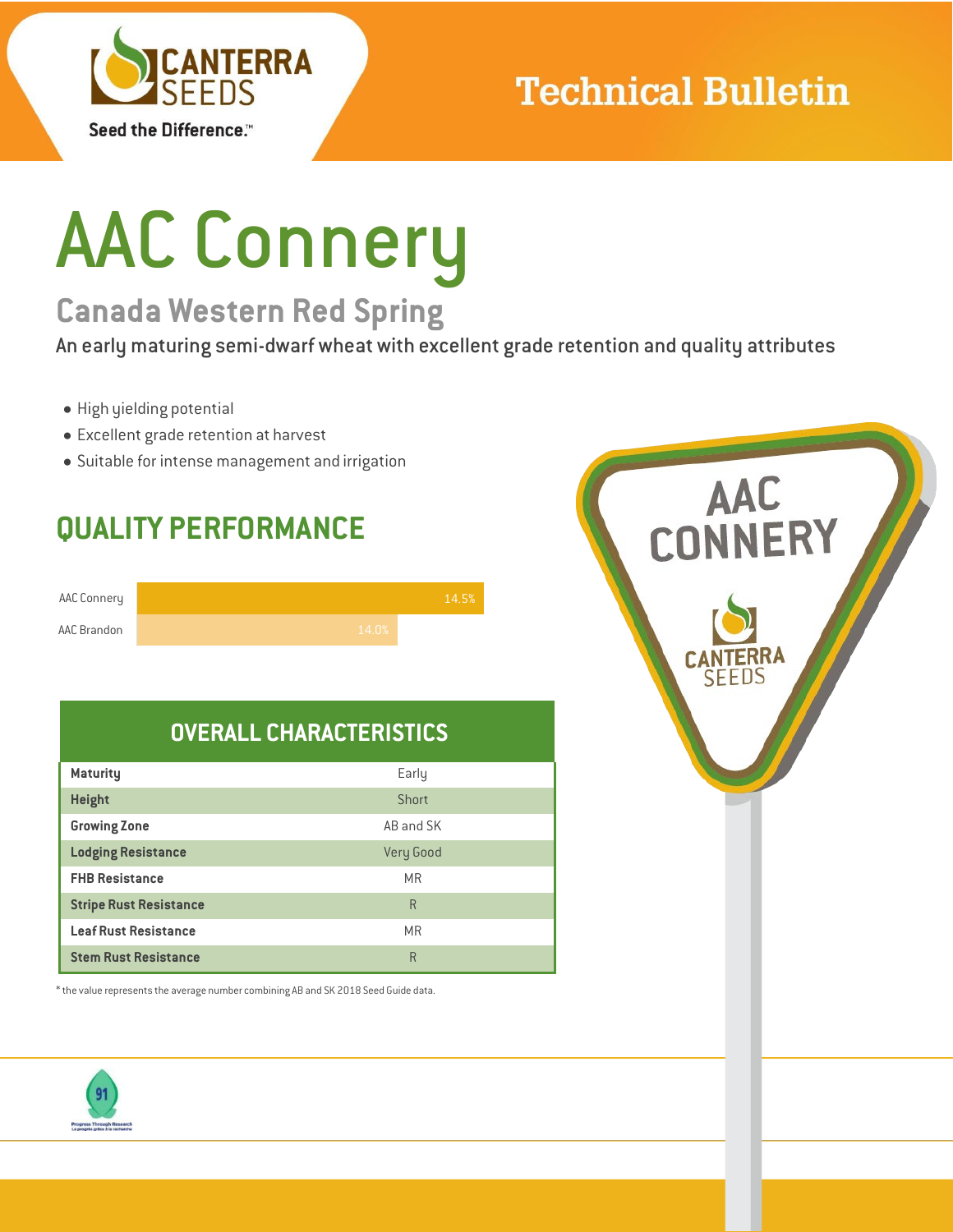

## **Technical Bulletin**

# AAC Connery

## **Canada Western Red Spring**

An early maturing semi-dwarf wheat with excellent grade retention and quality attributes

- High yielding potential
- Excellent grade retention at harvest
- Suitable for intense management and irrigation

## **QUALITY PERFORMANCE**

| AAC Connery |       | 14.5% |
|-------------|-------|-------|
| AAC Brandon | 14.0% |       |

### **OVERALL CHARACTERISTICS**

| <b>Maturity</b>               | Early     |
|-------------------------------|-----------|
| <b>Height</b>                 | Short     |
| <b>Growing Zone</b>           | AB and SK |
| <b>Lodging Resistance</b>     | Very Good |
| <b>FHB Resistance</b>         | <b>MR</b> |
| <b>Stripe Rust Resistance</b> | R         |
| <b>Leaf Rust Resistance</b>   | <b>MR</b> |
| <b>Stem Rust Resistance</b>   | R         |

 $^*$  the value represents the average number combining AB and SK 2018 Seed Guide data.